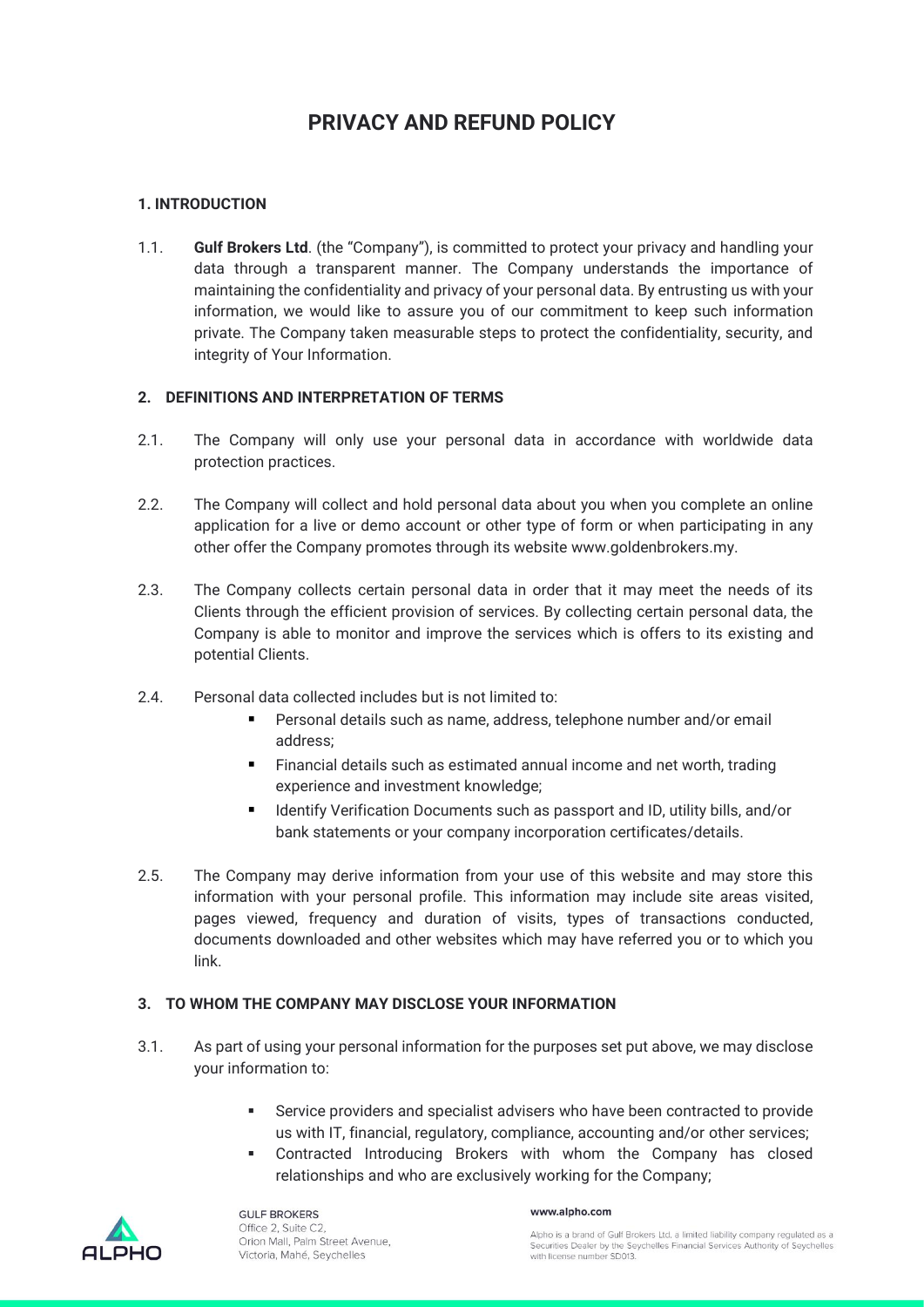# **PRIVACY AND REFUND POLICY**

#### **1. INTRODUCTION**

1.1. **Gulf Brokers Ltd**. (the "Company"), is committed to protect your privacy and handling your data through a transparent manner. The Company understands the importance of maintaining the confidentiality and privacy of your personal data. By entrusting us with your information, we would like to assure you of our commitment to keep such information private. The Company taken measurable steps to protect the confidentiality, security, and integrity of Your Information.

#### **2. DEFINITIONS AND INTERPRETATION OF TERMS**

- 2.1. The Company will only use your personal data in accordance with worldwide data protection practices.
- 2.2. The Company will collect and hold personal data about you when you complete an online application for a live or demo account or other type of form or when participating in any other offer the Company promotes through its website www.goldenbrokers.my.
- 2.3. The Company collects certain personal data in order that it may meet the needs of its Clients through the efficient provision of services. By collecting certain personal data, the Company is able to monitor and improve the services which is offers to its existing and potential Clients.
- 2.4. Personal data collected includes but is not limited to:
	- Personal details such as name, address, telephone number and/or email address;
	- Financial details such as estimated annual income and net worth, trading experience and investment knowledge;
	- Identify Verification Documents such as passport and ID, utility bills, and/or bank statements or your company incorporation certificates/details.
- 2.5. The Company may derive information from your use of this website and may store this information with your personal profile. This information may include site areas visited, pages viewed, frequency and duration of visits, types of transactions conducted, documents downloaded and other websites which may have referred you or to which you link.

#### **3. TO WHOM THE COMPANY MAY DISCLOSE YOUR INFORMATION**

- 3.1. As part of using your personal information for the purposes set put above, we may disclose your information to:
	- Service providers and specialist advisers who have been contracted to provide us with IT, financial, regulatory, compliance, accounting and/or other services;
	- Contracted Introducing Brokers with whom the Company has closed relationships and who are exclusively working for the Company;



**GULF BROKERS** Office 2, Suite C2 Orion Mall, Palm Street Avenue, Victoria, Mahé, Seychelles

#### www.alpho.com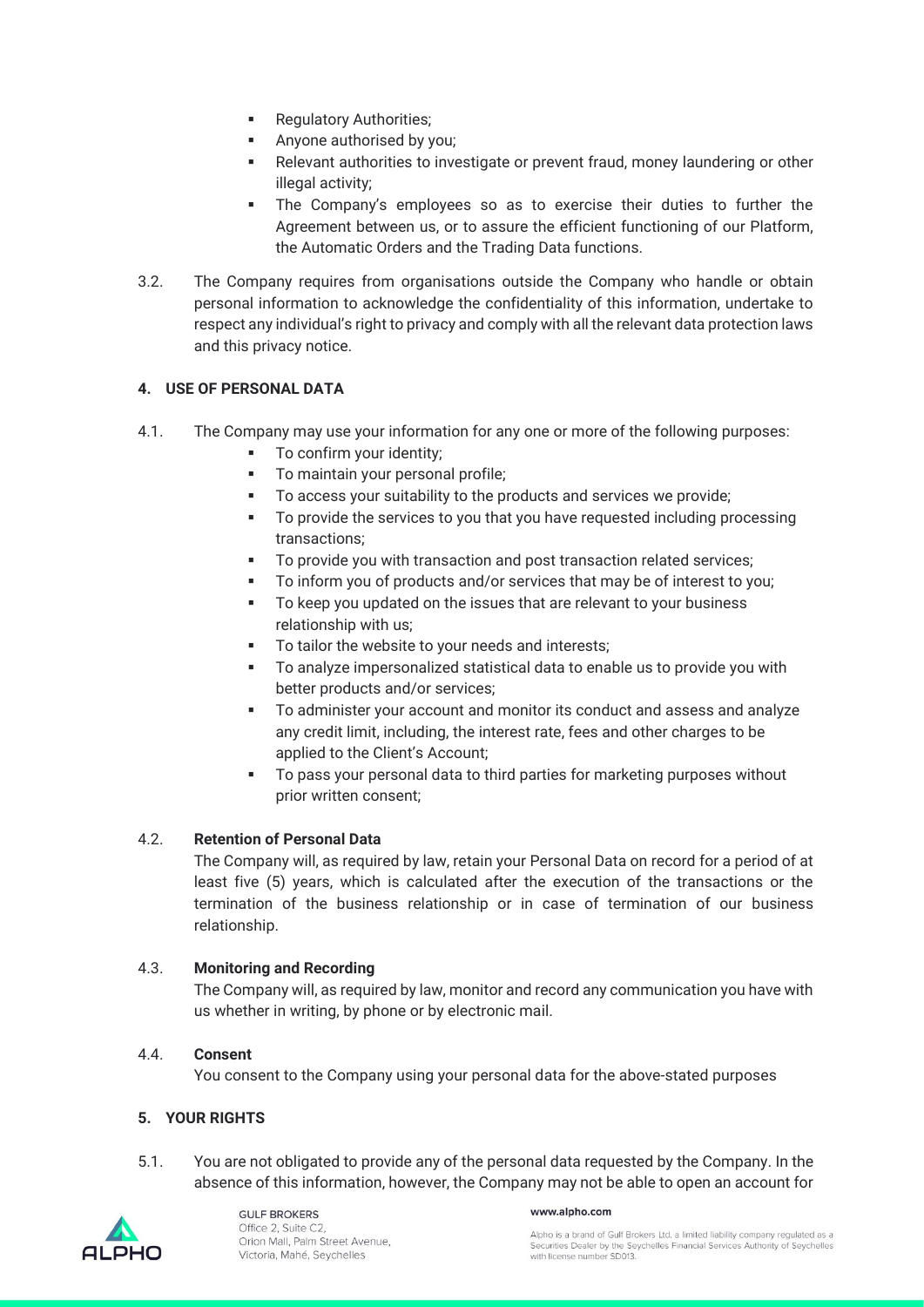- **•** Regulatory Authorities;
- Anyone authorised by you;
- Relevant authorities to investigate or prevent fraud, money laundering or other illegal activity:
- The Company's employees so as to exercise their duties to further the Agreement between us, or to assure the efficient functioning of our Platform, the Automatic Orders and the Trading Data functions.
- 3.2. The Company requires from organisations outside the Company who handle or obtain personal information to acknowledge the confidentiality of this information, undertake to respect any individual's right to privacy and comply with all the relevant data protection laws and this privacy notice.

# **4. USE OF PERSONAL DATA**

- 4.1. The Company may use your information for any one or more of the following purposes:
	- To confirm your identity;
	- To maintain your personal profile;
	- To access your suitability to the products and services we provide;
	- To provide the services to you that you have requested including processing transactions;
	- To provide you with transaction and post transaction related services;
	- To inform you of products and/or services that may be of interest to you;
	- To keep you updated on the issues that are relevant to your business relationship with us;
	- To tailor the website to your needs and interests;
	- To analyze impersonalized statistical data to enable us to provide you with better products and/or services;
	- To administer your account and monitor its conduct and assess and analyze any credit limit, including, the interest rate, fees and other charges to be applied to the Client's Account;
	- To pass your personal data to third parties for marketing purposes without prior written consent;

# 4.2. **Retention of Personal Data**

The Company will, as required by law, retain your Personal Data on record for a period of at least five (5) years, which is calculated after the execution of the transactions or the termination of the business relationship or in case of termination of our business relationship.

# 4.3. **Monitoring and Recording**

The Company will, as required by law, monitor and record any communication you have with us whether in writing, by phone or by electronic mail.

# 4.4. **Consent**

You consent to the Company using your personal data for the above-stated purposes

# **5. YOUR RIGHTS**

5.1. You are not obligated to provide any of the personal data requested by the Company. In the absence of this information, however, the Company may not be able to open an account for



#### www.alpho.com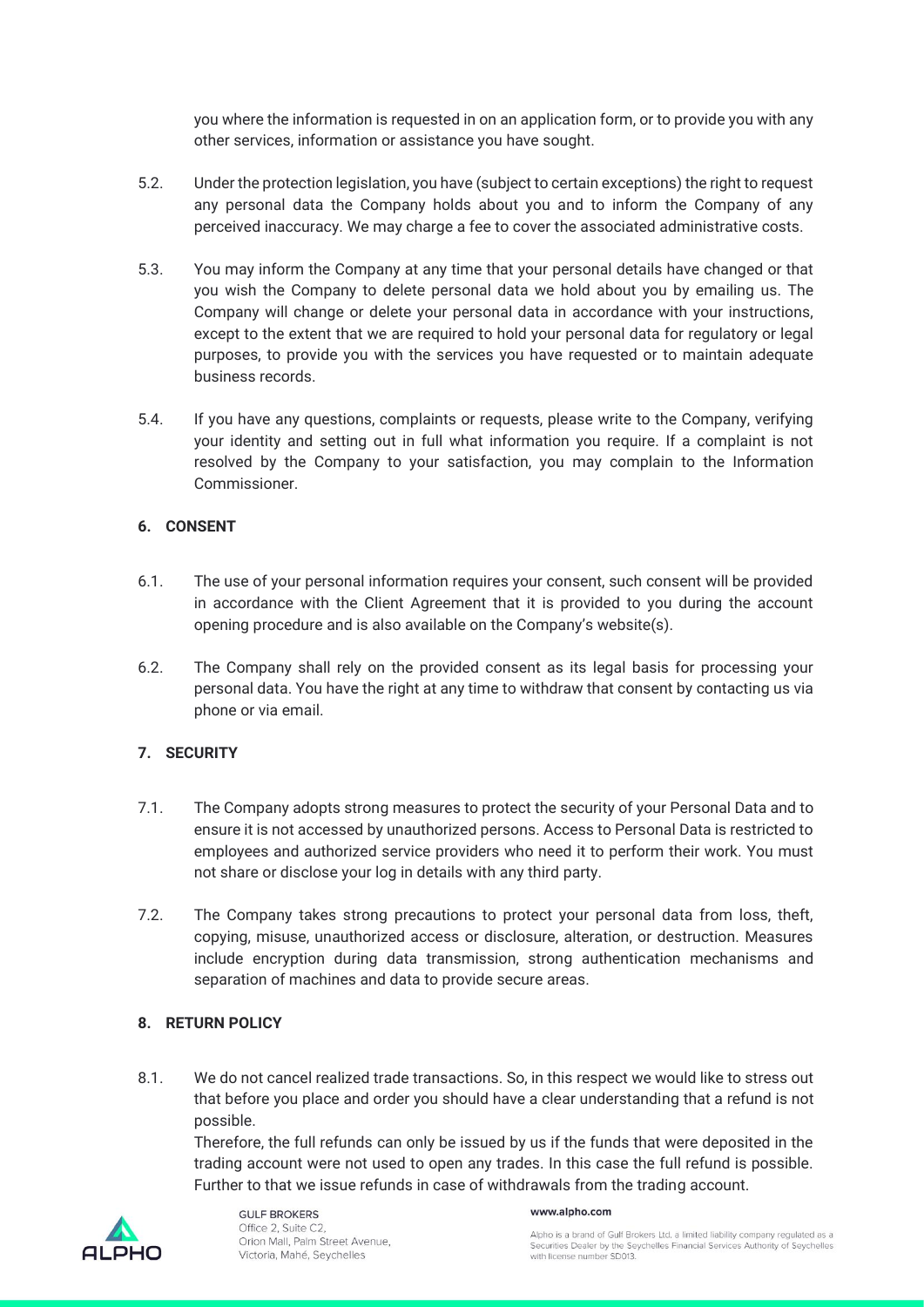you where the information is requested in on an application form, or to provide you with any other services, information or assistance you have sought.

- 5.2. Under the protection legislation, you have (subject to certain exceptions) the right to request any personal data the Company holds about you and to inform the Company of any perceived inaccuracy. We may charge a fee to cover the associated administrative costs.
- 5.3. You may inform the Company at any time that your personal details have changed or that you wish the Company to delete personal data we hold about you by emailing us. The Company will change or delete your personal data in accordance with your instructions, except to the extent that we are required to hold your personal data for regulatory or legal purposes, to provide you with the services you have requested or to maintain adequate business records.
- 5.4. If you have any questions, complaints or requests, please write to the Company, verifying your identity and setting out in full what information you require. If a complaint is not resolved by the Company to your satisfaction, you may complain to the Information Commissioner.

# **6. CONSENT**

- 6.1. The use of your personal information requires your consent, such consent will be provided in accordance with the Client Agreement that it is provided to you during the account opening procedure and is also available on the Company's website(s).
- 6.2. The Company shall rely on the provided consent as its legal basis for processing your personal data. You have the right at any time to withdraw that consent by contacting us via phone or via email.

# **7. SECURITY**

- 7.1. The Company adopts strong measures to protect the security of your Personal Data and to ensure it is not accessed by unauthorized persons. Access to Personal Data is restricted to employees and authorized service providers who need it to perform their work. You must not share or disclose your log in details with any third party.
- 7.2. The Company takes strong precautions to protect your personal data from loss, theft, copying, misuse, unauthorized access or disclosure, alteration, or destruction. Measures include encryption during data transmission, strong authentication mechanisms and separation of machines and data to provide secure areas.

# **8. RETURN POLICY**

8.1. We do not cancel realized trade transactions. So, in this respect we would like to stress out that before you place and order you should have a clear understanding that a refund is not possible.

Therefore, the full refunds can only be issued by us if the funds that were deposited in the trading account were not used to open any trades. In this case the full refund is possible. Further to that we issue refunds in case of withdrawals from the trading account.



GULE BROKERS Office 2, Suite C2 Orion Mall, Palm Street Avenue, Victoria, Mahé, Seychelles

#### www.alpho.com